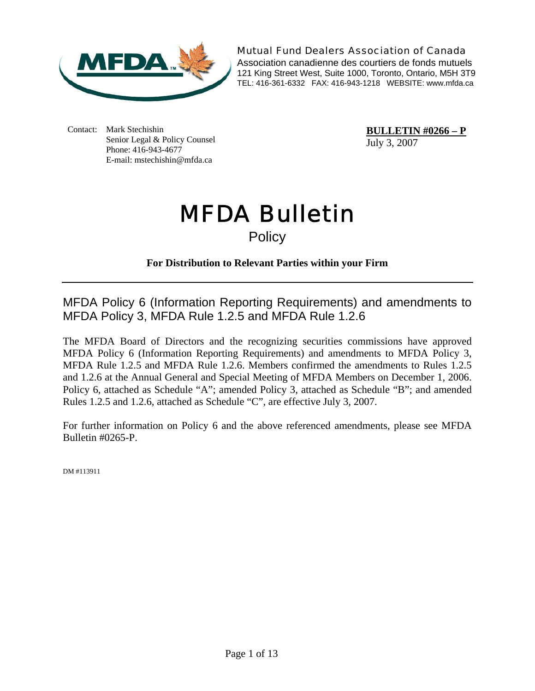

Mutual Fund Dealers Association of Canada

Association canadienne des courtiers de fonds mutuels 121 King Street West, Suite 1000, Toronto, Ontario, M5H 3T9 TEL: 416-361-6332 FAX: 416-943-1218 WEBSITE: www.mfda.ca

Contact: Mark Stechishin Senior Legal & Policy Counsel Phone: 416-943-4677 E-mail: mstechishin@mfda.ca

**BULLETIN #0266 – P** July 3, 2007

# MFDA Bulletin

**Policy** 

## **For Distribution to Relevant Parties within your Firm**

MFDA Policy 6 (Information Reporting Requirements) and amendments to MFDA Policy 3, MFDA Rule 1.2.5 and MFDA Rule 1.2.6

The MFDA Board of Directors and the recognizing securities commissions have approved MFDA Policy 6 (Information Reporting Requirements) and amendments to MFDA Policy 3, MFDA Rule 1.2.5 and MFDA Rule 1.2.6. Members confirmed the amendments to Rules 1.2.5 and 1.2.6 at the Annual General and Special Meeting of MFDA Members on December 1, 2006. Policy 6, attached as Schedule "A"; amended Policy 3, attached as Schedule "B"; and amended Rules 1.2.5 and 1.2.6, attached as Schedule "C", are effective July 3, 2007.

For further information on Policy 6 and the above referenced amendments, please see MFDA Bulletin #0265-P.

DM #113911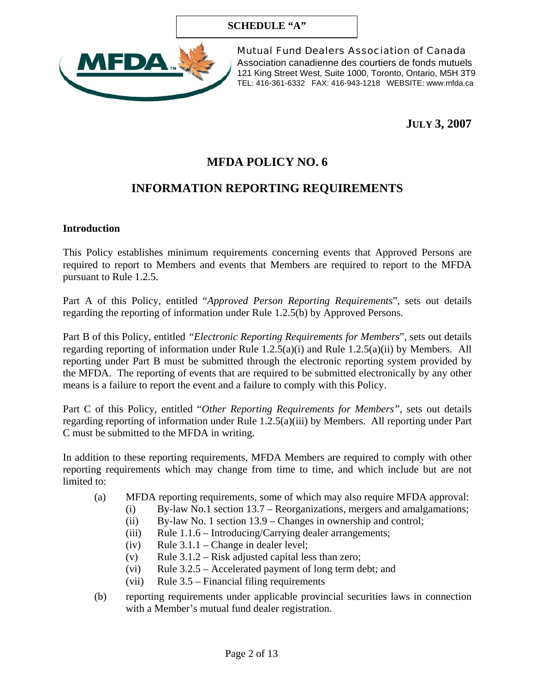#### **SCHEDULE "A"**



Mutual Fund Dealers Association of Canada Association canadienne des courtiers de fonds mutuels 121 King Street West, Suite 1000, Toronto, Ontario, M5H 3T9 TEL: 416-361-6332 FAX: 416-943-1218 WEBSITE: www.mfda.ca

**JULY 3, 2007** 

# **MFDA POLICY NO. 6**

## **INFORMATION REPORTING REQUIREMENTS**

#### **Introduction**

This Policy establishes minimum requirements concerning events that Approved Persons are required to report to Members and events that Members are required to report to the MFDA pursuant to Rule 1.2.5.

Part A of this Policy, entitled "*Approved Person Reporting Requirements*", sets out details regarding the reporting of information under Rule 1.2.5(b) by Approved Persons.

Part B of this Policy, entitled *"Electronic Reporting Requirements for Members*", sets out details regarding reporting of information under Rule 1.2.5(a)(i) and Rule 1.2.5(a)(ii) by Members. All reporting under Part B must be submitted through the electronic reporting system provided by the MFDA. The reporting of events that are required to be submitted electronically by any other means is a failure to report the event and a failure to comply with this Policy.

Part C of this Policy, entitled "*Other Reporting Requirements for Members",* sets out details regarding reporting of information under Rule 1.2.5(a)(iii) by Members. All reporting under Part C must be submitted to the MFDA in writing.

In addition to these reporting requirements, MFDA Members are required to comply with other reporting requirements which may change from time to time, and which include but are not limited to:

- (a) MFDA reporting requirements, some of which may also require MFDA approval:
	- (i) By-law No.1 section 13.7 Reorganizations, mergers and amalgamations;
		- (ii) By-law No. 1 section 13.9 Changes in ownership and control;
	- (iii) Rule 1.1.6 Introducing/Carrying dealer arrangements;
	- (iv) Rule  $3.1.1$  Change in dealer level;
	- (v) Rule  $3.1.2$  Risk adjusted capital less than zero;
	- (vi) Rule 3.2.5 Accelerated payment of long term debt; and
	- (vii) Rule 3.5 Financial filing requirements
- (b) reporting requirements under applicable provincial securities laws in connection with a Member's mutual fund dealer registration.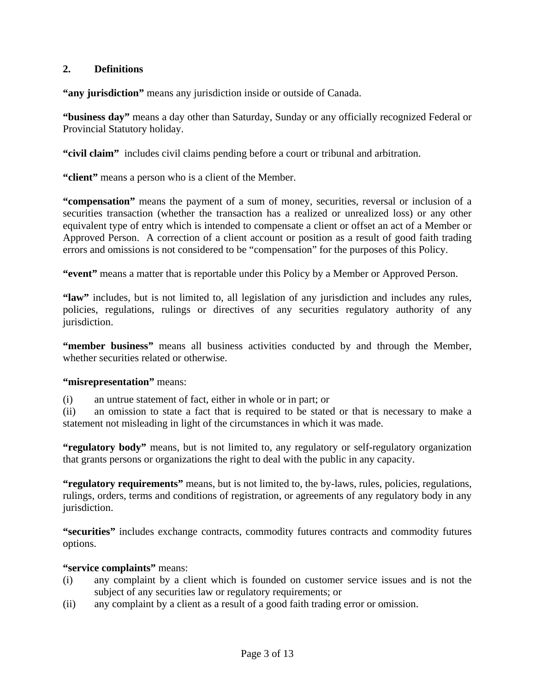#### **2. Definitions**

**"any jurisdiction"** means any jurisdiction inside or outside of Canada.

**"business day"** means a day other than Saturday, Sunday or any officially recognized Federal or Provincial Statutory holiday.

**"civil claim"** includes civil claims pending before a court or tribunal and arbitration.

**"client"** means a person who is a client of the Member.

**"compensation"** means the payment of a sum of money, securities, reversal or inclusion of a securities transaction (whether the transaction has a realized or unrealized loss) or any other equivalent type of entry which is intended to compensate a client or offset an act of a Member or Approved Person. A correction of a client account or position as a result of good faith trading errors and omissions is not considered to be "compensation" for the purposes of this Policy.

**"event"** means a matter that is reportable under this Policy by a Member or Approved Person.

**"law"** includes, but is not limited to, all legislation of any jurisdiction and includes any rules, policies, regulations, rulings or directives of any securities regulatory authority of any jurisdiction.

**"member business"** means all business activities conducted by and through the Member, whether securities related or otherwise.

#### **"misrepresentation"** means:

(i) an untrue statement of fact, either in whole or in part; or

(ii) an omission to state a fact that is required to be stated or that is necessary to make a statement not misleading in light of the circumstances in which it was made.

**"regulatory body"** means, but is not limited to, any regulatory or self-regulatory organization that grants persons or organizations the right to deal with the public in any capacity.

**"regulatory requirements"** means, but is not limited to, the by-laws, rules, policies, regulations, rulings, orders, terms and conditions of registration, or agreements of any regulatory body in any jurisdiction.

**"securities"** includes exchange contracts, commodity futures contracts and commodity futures options.

#### **"service complaints"** means:

- (i) any complaint by a client which is founded on customer service issues and is not the subject of any securities law or regulatory requirements; or
- (ii) any complaint by a client as a result of a good faith trading error or omission.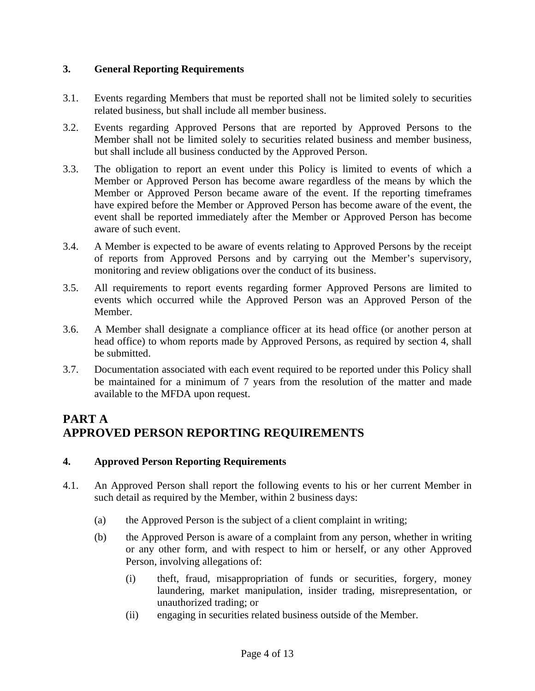### **3. General Reporting Requirements**

- 3.1. Events regarding Members that must be reported shall not be limited solely to securities related business, but shall include all member business.
- 3.2. Events regarding Approved Persons that are reported by Approved Persons to the Member shall not be limited solely to securities related business and member business, but shall include all business conducted by the Approved Person.
- 3.3. The obligation to report an event under this Policy is limited to events of which a Member or Approved Person has become aware regardless of the means by which the Member or Approved Person became aware of the event. If the reporting timeframes have expired before the Member or Approved Person has become aware of the event, the event shall be reported immediately after the Member or Approved Person has become aware of such event.
- 3.4. A Member is expected to be aware of events relating to Approved Persons by the receipt of reports from Approved Persons and by carrying out the Member's supervisory, monitoring and review obligations over the conduct of its business.
- 3.5. All requirements to report events regarding former Approved Persons are limited to events which occurred while the Approved Person was an Approved Person of the Member.
- 3.6. A Member shall designate a compliance officer at its head office (or another person at head office) to whom reports made by Approved Persons, as required by section 4, shall be submitted.
- 3.7. Documentation associated with each event required to be reported under this Policy shall be maintained for a minimum of 7 years from the resolution of the matter and made available to the MFDA upon request.

## **PART A APPROVED PERSON REPORTING REQUIREMENTS**

#### **4. Approved Person Reporting Requirements**

- 4.1. An Approved Person shall report the following events to his or her current Member in such detail as required by the Member, within 2 business days:
	- (a) the Approved Person is the subject of a client complaint in writing;
	- (b) the Approved Person is aware of a complaint from any person, whether in writing or any other form, and with respect to him or herself, or any other Approved Person, involving allegations of:
		- (i) theft, fraud, misappropriation of funds or securities, forgery, money laundering, market manipulation, insider trading, misrepresentation, or unauthorized trading; or
		- (ii) engaging in securities related business outside of the Member.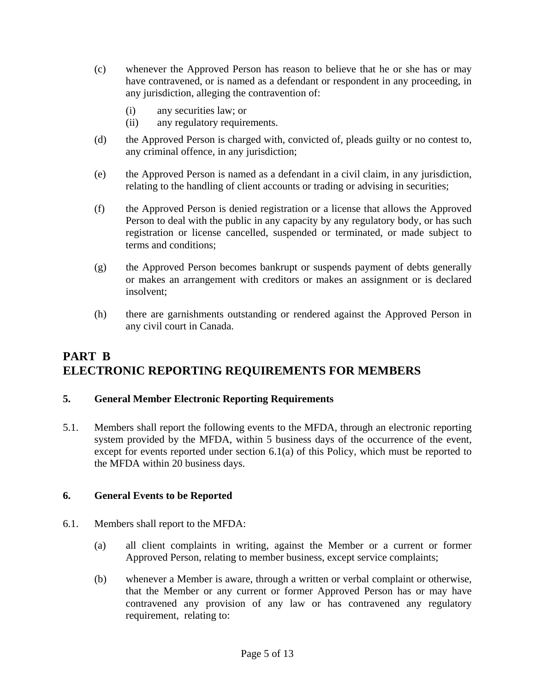- (c) whenever the Approved Person has reason to believe that he or she has or may have contravened, or is named as a defendant or respondent in any proceeding, in any jurisdiction, alleging the contravention of:
	- (i) any securities law; or
	- (ii) any regulatory requirements.
- (d) the Approved Person is charged with, convicted of, pleads guilty or no contest to, any criminal offence, in any jurisdiction;
- (e) the Approved Person is named as a defendant in a civil claim, in any jurisdiction, relating to the handling of client accounts or trading or advising in securities;
- (f) the Approved Person is denied registration or a license that allows the Approved Person to deal with the public in any capacity by any regulatory body, or has such registration or license cancelled, suspended or terminated, or made subject to terms and conditions;
- (g) the Approved Person becomes bankrupt or suspends payment of debts generally or makes an arrangement with creditors or makes an assignment or is declared insolvent;
- (h) there are garnishments outstanding or rendered against the Approved Person in any civil court in Canada.

## **PART B ELECTRONIC REPORTING REQUIREMENTS FOR MEMBERS**

#### **5. General Member Electronic Reporting Requirements**

5.1. Members shall report the following events to the MFDA, through an electronic reporting system provided by the MFDA, within 5 business days of the occurrence of the event, except for events reported under section 6.1(a) of this Policy, which must be reported to the MFDA within 20 business days.

#### **6. General Events to be Reported**

- 6.1. Members shall report to the MFDA:
	- (a) all client complaints in writing, against the Member or a current or former Approved Person, relating to member business, except service complaints;
	- (b) whenever a Member is aware, through a written or verbal complaint or otherwise, that the Member or any current or former Approved Person has or may have contravened any provision of any law or has contravened any regulatory requirement, relating to: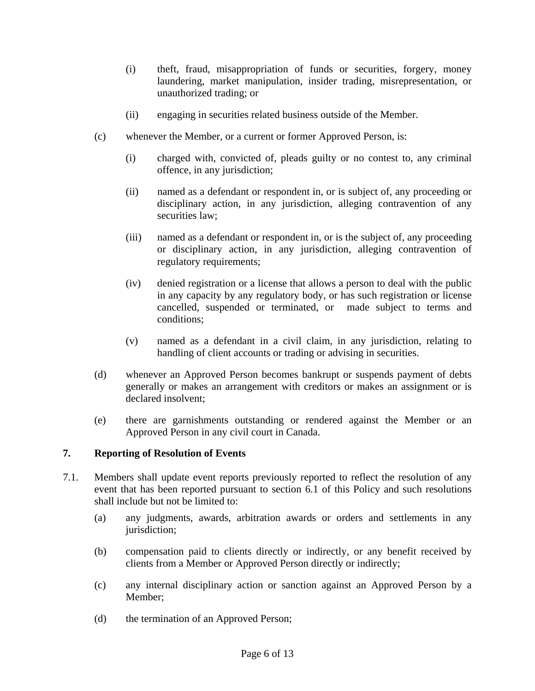- (i) theft, fraud, misappropriation of funds or securities, forgery, money laundering, market manipulation, insider trading, misrepresentation, or unauthorized trading; or
- (ii) engaging in securities related business outside of the Member.
- (c) whenever the Member, or a current or former Approved Person, is:
	- (i) charged with, convicted of, pleads guilty or no contest to, any criminal offence, in any jurisdiction;
	- (ii) named as a defendant or respondent in, or is subject of, any proceeding or disciplinary action, in any jurisdiction, alleging contravention of any securities law;
	- (iii) named as a defendant or respondent in, or is the subject of, any proceeding or disciplinary action, in any jurisdiction, alleging contravention of regulatory requirements;
	- (iv) denied registration or a license that allows a person to deal with the public in any capacity by any regulatory body, or has such registration or license cancelled, suspended or terminated, or made subject to terms and conditions;
	- (v) named as a defendant in a civil claim, in any jurisdiction, relating to handling of client accounts or trading or advising in securities.
- (d) whenever an Approved Person becomes bankrupt or suspends payment of debts generally or makes an arrangement with creditors or makes an assignment or is declared insolvent;
- (e) there are garnishments outstanding or rendered against the Member or an Approved Person in any civil court in Canada.

#### **7. Reporting of Resolution of Events**

- 7.1. Members shall update event reports previously reported to reflect the resolution of any event that has been reported pursuant to section 6.1 of this Policy and such resolutions shall include but not be limited to:
	- (a) any judgments, awards, arbitration awards or orders and settlements in any jurisdiction;
	- (b) compensation paid to clients directly or indirectly, or any benefit received by clients from a Member or Approved Person directly or indirectly;
	- (c) any internal disciplinary action or sanction against an Approved Person by a Member;
	- (d) the termination of an Approved Person;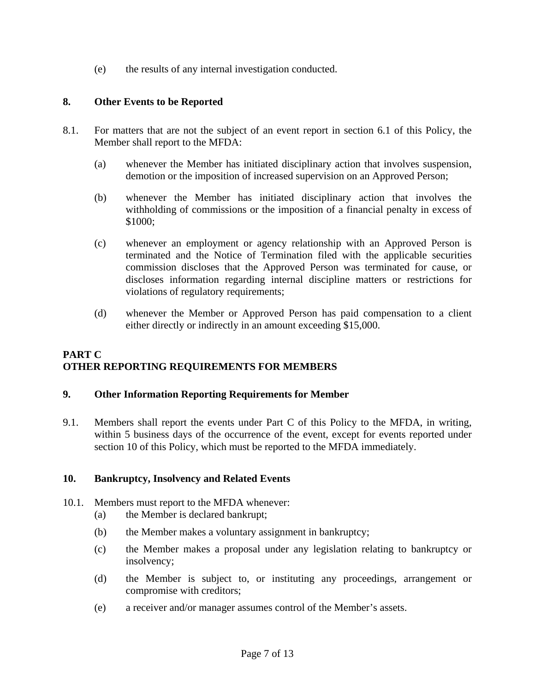(e) the results of any internal investigation conducted.

#### **8. Other Events to be Reported**

- 8.1. For matters that are not the subject of an event report in section 6.1 of this Policy, the Member shall report to the MFDA:
	- (a) whenever the Member has initiated disciplinary action that involves suspension, demotion or the imposition of increased supervision on an Approved Person;
	- (b) whenever the Member has initiated disciplinary action that involves the withholding of commissions or the imposition of a financial penalty in excess of \$1000;
	- (c) whenever an employment or agency relationship with an Approved Person is terminated and the Notice of Termination filed with the applicable securities commission discloses that the Approved Person was terminated for cause, or discloses information regarding internal discipline matters or restrictions for violations of regulatory requirements;
	- (d) whenever the Member or Approved Person has paid compensation to a client either directly or indirectly in an amount exceeding \$15,000.

## **PART C OTHER REPORTING REQUIREMENTS FOR MEMBERS**

#### **9. Other Information Reporting Requirements for Member**

9.1. Members shall report the events under Part C of this Policy to the MFDA, in writing, within 5 business days of the occurrence of the event, except for events reported under section 10 of this Policy, which must be reported to the MFDA immediately.

#### **10. Bankruptcy, Insolvency and Related Events**

- 10.1. Members must report to the MFDA whenever:
	- (a) the Member is declared bankrupt;
	- (b) the Member makes a voluntary assignment in bankruptcy;
	- (c) the Member makes a proposal under any legislation relating to bankruptcy or insolvency;
	- (d) the Member is subject to, or instituting any proceedings, arrangement or compromise with creditors;
	- (e) a receiver and/or manager assumes control of the Member's assets.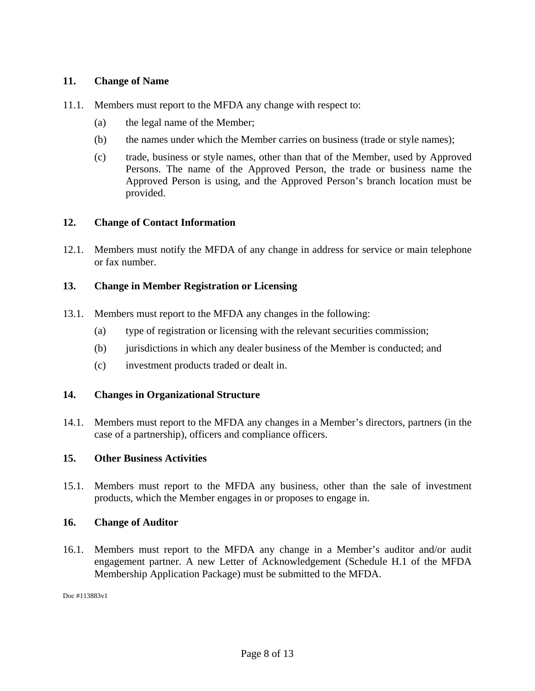#### **11. Change of Name**

- 11.1. Members must report to the MFDA any change with respect to:
	- (a) the legal name of the Member;
	- (b) the names under which the Member carries on business (trade or style names);
	- (c) trade, business or style names, other than that of the Member, used by Approved Persons. The name of the Approved Person, the trade or business name the Approved Person is using, and the Approved Person's branch location must be provided.

#### **12. Change of Contact Information**

12.1. Members must notify the MFDA of any change in address for service or main telephone or fax number.

#### **13. Change in Member Registration or Licensing**

- 13.1. Members must report to the MFDA any changes in the following:
	- (a) type of registration or licensing with the relevant securities commission;
	- (b) jurisdictions in which any dealer business of the Member is conducted; and
	- (c) investment products traded or dealt in.

#### **14. Changes in Organizational Structure**

14.1. Members must report to the MFDA any changes in a Member's directors, partners (in the case of a partnership), officers and compliance officers.

#### **15. Other Business Activities**

15.1. Members must report to the MFDA any business, other than the sale of investment products, which the Member engages in or proposes to engage in.

#### **16. Change of Auditor**

16.1. Members must report to the MFDA any change in a Member's auditor and/or audit engagement partner. A new Letter of Acknowledgement (Schedule H.1 of the MFDA Membership Application Package) must be submitted to the MFDA.

Doc #113883v1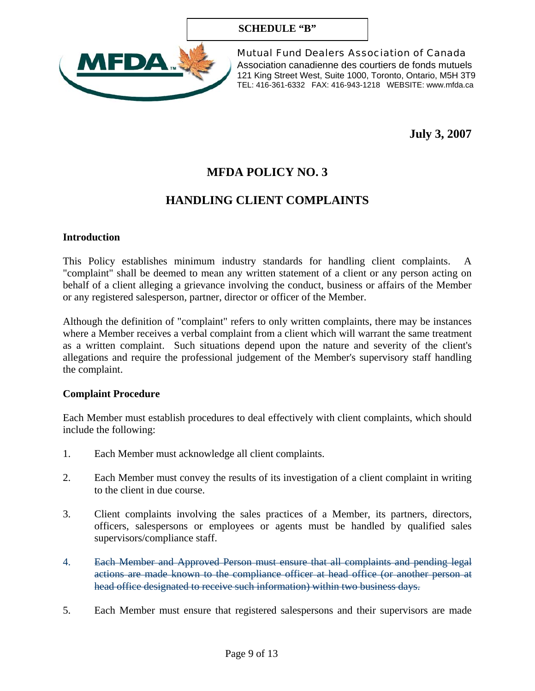#### **SCHEDULE "B"**



Mutual Fund Dealers Association of Canada Association canadienne des courtiers de fonds mutuels 121 King Street West, Suite 1000, Toronto, Ontario, M5H 3T9 TEL: 416-361-6332 FAX: 416-943-1218 WEBSITE: www.mfda.ca

**July 3, 2007** 

# **MFDA POLICY NO. 3**

## **HANDLING CLIENT COMPLAINTS**

#### **Introduction**

This Policy establishes minimum industry standards for handling client complaints. A "complaint" shall be deemed to mean any written statement of a client or any person acting on behalf of a client alleging a grievance involving the conduct, business or affairs of the Member or any registered salesperson, partner, director or officer of the Member.

Although the definition of "complaint" refers to only written complaints, there may be instances where a Member receives a verbal complaint from a client which will warrant the same treatment as a written complaint. Such situations depend upon the nature and severity of the client's allegations and require the professional judgement of the Member's supervisory staff handling the complaint.

#### **Complaint Procedure**

Each Member must establish procedures to deal effectively with client complaints, which should include the following:

- 1. Each Member must acknowledge all client complaints.
- 2. Each Member must convey the results of its investigation of a client complaint in writing to the client in due course.
- 3. Client complaints involving the sales practices of a Member, its partners, directors, officers, salespersons or employees or agents must be handled by qualified sales supervisors/compliance staff.
- 4. Each Member and Approved Person must ensure that all complaints and pending legal actions are made known to the compliance officer at head office (or another person at head office designated to receive such information) within two business days.
- 5. Each Member must ensure that registered salespersons and their supervisors are made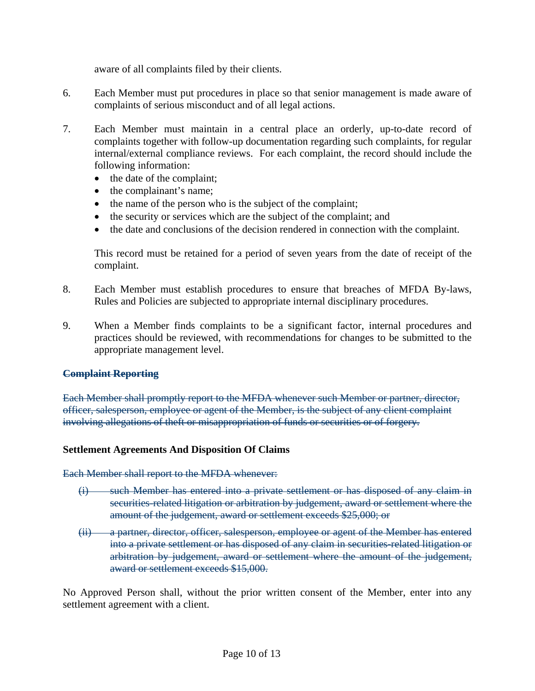aware of all complaints filed by their clients.

- 6. Each Member must put procedures in place so that senior management is made aware of complaints of serious misconduct and of all legal actions.
- 7. Each Member must maintain in a central place an orderly, up-to-date record of complaints together with follow-up documentation regarding such complaints, for regular internal/external compliance reviews. For each complaint, the record should include the following information:
	- the date of the complaint;
	- the complainant's name;
	- the name of the person who is the subject of the complaint;
	- the security or services which are the subject of the complaint; and
	- the date and conclusions of the decision rendered in connection with the complaint.

This record must be retained for a period of seven years from the date of receipt of the complaint.

- 8. Each Member must establish procedures to ensure that breaches of MFDA By-laws, Rules and Policies are subjected to appropriate internal disciplinary procedures.
- 9. When a Member finds complaints to be a significant factor, internal procedures and practices should be reviewed, with recommendations for changes to be submitted to the appropriate management level.

#### **Complaint Reporting**

Each Member shall promptly report to the MFDA whenever such Member or partner, director, officer, salesperson, employee or agent of the Member, is the subject of any client complaint involving allegations of theft or misappropriation of funds or securities or of forgery.

#### **Settlement Agreements And Disposition Of Claims**

Each Member shall report to the MFDA whenever:

- (i) such Member has entered into a private settlement or has disposed of any claim in securities-related litigation or arbitration by judgement, award or settlement where the amount of the judgement, award or settlement exceeds \$25,000; or
- (ii) a partner, director, officer, salesperson, employee or agent of the Member has entered into a private settlement or has disposed of any claim in securities-related litigation or arbitration by judgement, award or settlement where the amount of the judgement, award or settlement exceeds \$15,000.

No Approved Person shall, without the prior written consent of the Member, enter into any settlement agreement with a client.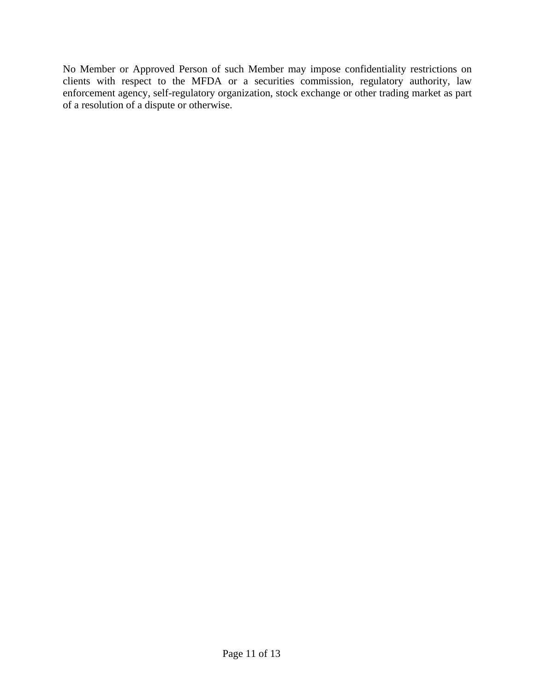No Member or Approved Person of such Member may impose confidentiality restrictions on clients with respect to the MFDA or a securities commission, regulatory authority, law enforcement agency, self-regulatory organization, stock exchange or other trading market as part of a resolution of a dispute or otherwise.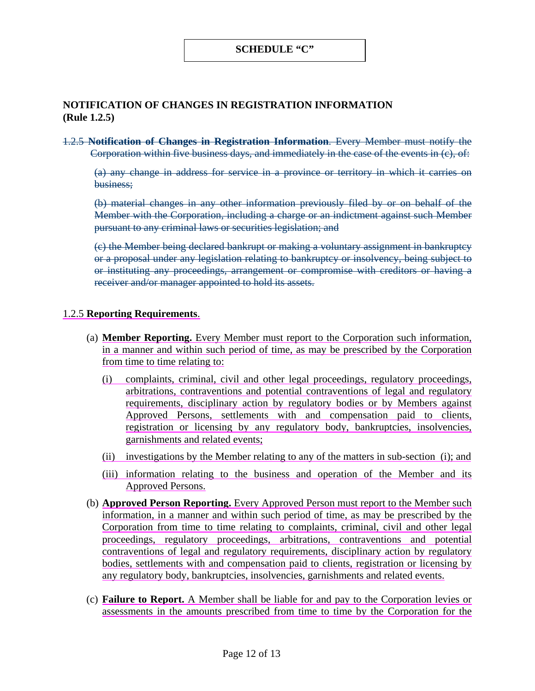#### **SCHEDULE "C"**

#### **NOTIFICATION OF CHANGES IN REGISTRATION INFORMATION (Rule 1.2.5)**

1.2.5 **Notification of Changes in Registration Information**. Every Member must notify the Corporation within five business days, and immediately in the case of the events in (c), of:

(a) any change in address for service in a province or territory in which it carries on business;

(b) material changes in any other information previously filed by or on behalf of the Member with the Corporation, including a charge or an indictment against such Member pursuant to any criminal laws or securities legislation; and

(c) the Member being declared bankrupt or making a voluntary assignment in bankruptcy or a proposal under any legislation relating to bankruptcy or insolvency, being subject to or instituting any proceedings, arrangement or compromise with creditors or having a receiver and/or manager appointed to hold its assets.

#### 1.2.5 **Reporting Requirements**.

- (a) **Member Reporting.** Every Member must report to the Corporation such information, in a manner and within such period of time, as may be prescribed by the Corporation from time to time relating to:
	- (i) complaints, criminal, civil and other legal proceedings, regulatory proceedings, arbitrations, contraventions and potential contraventions of legal and regulatory requirements, disciplinary action by regulatory bodies or by Members against Approved Persons, settlements with and compensation paid to clients, registration or licensing by any regulatory body, bankruptcies, insolvencies, garnishments and related events;
	- (ii) investigations by the Member relating to any of the matters in sub-section (i); and
	- (iii) information relating to the business and operation of the Member and its Approved Persons.
- (b) **Approved Person Reporting.** Every Approved Person must report to the Member such information, in a manner and within such period of time, as may be prescribed by the Corporation from time to time relating to complaints, criminal, civil and other legal proceedings, regulatory proceedings, arbitrations, contraventions and potential contraventions of legal and regulatory requirements, disciplinary action by regulatory bodies, settlements with and compensation paid to clients, registration or licensing by any regulatory body, bankruptcies, insolvencies, garnishments and related events.
- (c) **Failure to Report.** A Member shall be liable for and pay to the Corporation levies or assessments in the amounts prescribed from time to time by the Corporation for the